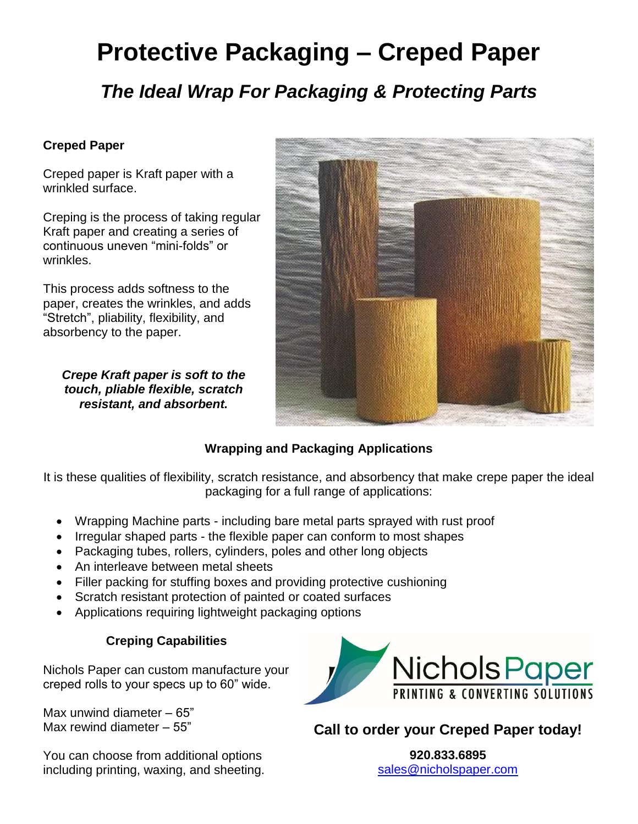# **Protective Packaging – Creped Paper**

*The Ideal Wrap For Packaging & Protecting Parts*

#### **Creped Paper**

Creped paper is Kraft paper with a wrinkled surface.

Creping is the process of taking regular Kraft paper and creating a series of continuous uneven "mini-folds" or wrinkles.

This process adds softness to the paper, creates the wrinkles, and adds "Stretch", pliability, flexibility, and absorbency to the paper.

*Crepe Kraft paper is soft to the touch, pliable flexible, scratch resistant, and absorbent.*



#### **Wrapping and Packaging Applications**

It is these qualities of flexibility, scratch resistance, and absorbency that make crepe paper the ideal packaging for a full range of applications:

- Wrapping Machine parts including bare metal parts sprayed with rust proof
- Irregular shaped parts the flexible paper can conform to most shapes
- Packaging tubes, rollers, cylinders, poles and other long objects
- An interleave between metal sheets
- Filler packing for stuffing boxes and providing protective cushioning
- Scratch resistant protection of painted or coated surfaces
- Applications requiring lightweight packaging options

#### **Creping Capabilities**

Nichols Paper can custom manufacture your creped rolls to your specs up to 60" wide.

Max unwind diameter – 65" Max rewind diameter – 55"

You can choose from additional options including printing, waxing, and sheeting.



**Call to order your Creped Paper today!**

**920.833.6895** [sales@nicholspaper.com](mailto:sales@nicholspaper.com)